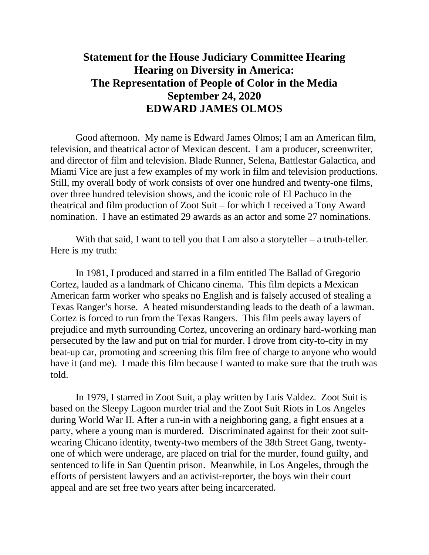## **Statement for the House Judiciary Committee Hearing Hearing on Diversity in America: The Representation of People of Color in the Media September 24, 2020 EDWARD JAMES OLMOS**

Good afternoon. My name is Edward James Olmos; I am an American film, television, and theatrical actor of Mexican descent. I am a producer, screenwriter, and director of film and television. Blade Runner, Selena, Battlestar Galactica, and Miami Vice are just a few examples of my work in film and television productions. Still, my overall body of work consists of over one hundred and twenty-one films, over three hundred television shows, and the iconic role of El Pachuco in the theatrical and film production of Zoot Suit – for which I received a Tony Award nomination. I have an estimated 29 awards as an actor and some 27 nominations.

With that said, I want to tell you that I am also a storyteller – a truth-teller. Here is my truth:

In 1981, I produced and starred in a film entitled The Ballad of Gregorio Cortez, lauded as a landmark of Chicano cinema. This film depicts a Mexican American farm worker who speaks no English and is falsely accused of stealing a Texas Ranger's horse. A heated misunderstanding leads to the death of a lawman. Cortez is forced to run from the Texas Rangers. This film peels away layers of prejudice and myth surrounding Cortez, uncovering an ordinary hard-working man persecuted by the law and put on trial for murder. I drove from city-to-city in my beat-up car, promoting and screening this film free of charge to anyone who would have it (and me). I made this film because I wanted to make sure that the truth was told.

In 1979, I starred in Zoot Suit, a play written by Luis Valdez. Zoot Suit is based on the Sleepy Lagoon murder trial and the Zoot Suit Riots in Los Angeles during World War II. After a run-in with a neighboring gang, a fight ensues at a party, where a young man is murdered. Discriminated against for their zoot suitwearing Chicano identity, twenty-two members of the 38th Street Gang, twentyone of which were underage, are placed on trial for the murder, found guilty, and sentenced to life in San Quentin prison. Meanwhile, in Los Angeles, through the efforts of persistent lawyers and an activist-reporter, the boys win their court appeal and are set free two years after being incarcerated.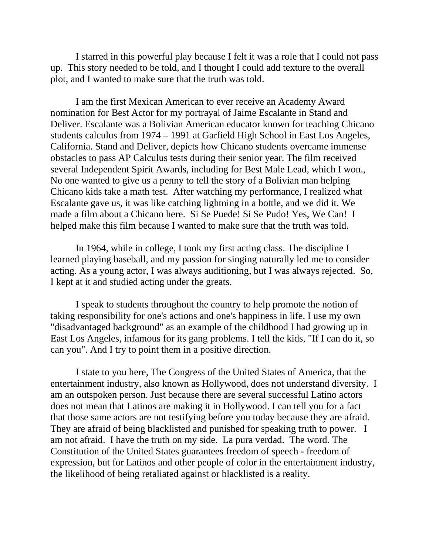I starred in this powerful play because I felt it was a role that I could not pass up. This story needed to be told, and I thought I could add texture to the overall plot, and I wanted to make sure that the truth was told.

I am the first Mexican American to ever receive an Academy Award nomination for Best Actor for my portrayal of Jaime Escalante in Stand and Deliver. Escalante was a Bolivian American educator known for teaching Chicano students calculus from 1974 – 1991 at Garfield High School in East Los Angeles, California. Stand and Deliver, depicts how Chicano students overcame immense obstacles to pass AP Calculus tests during their senior year. The film received several Independent Spirit Awards, including for Best Male Lead, which I won., No one wanted to give us a penny to tell the story of a Bolivian man helping Chicano kids take a math test. After watching my performance, I realized what Escalante gave us, it was like catching lightning in a bottle, and we did it. We made a film about a Chicano here. Si Se Puede! Si Se Pudo! Yes, We Can! I helped make this film because I wanted to make sure that the truth was told.

In 1964, while in college, I took my first acting class. The discipline I learned playing baseball, and my passion for singing naturally led me to consider acting. As a young actor, I was always auditioning, but I was always rejected. So, I kept at it and studied acting under the greats.

I speak to students throughout the country to help promote the notion of taking responsibility for one's actions and one's happiness in life. I use my own "disadvantaged background" as an example of the childhood I had growing up in East Los Angeles, infamous for its gang problems. I tell the kids, "If I can do it, so can you". And I try to point them in a positive direction.

I state to you here, The Congress of the United States of America, that the entertainment industry, also known as Hollywood, does not understand diversity. I am an outspoken person. Just because there are several successful Latino actors does not mean that Latinos are making it in Hollywood. I can tell you for a fact that those same actors are not testifying before you today because they are afraid. They are afraid of being blacklisted and punished for speaking truth to power. I am not afraid. I have the truth on my side. La pura verdad. The word. The Constitution of the United States guarantees freedom of speech - freedom of expression, but for Latinos and other people of color in the entertainment industry, the likelihood of being retaliated against or blacklisted is a reality.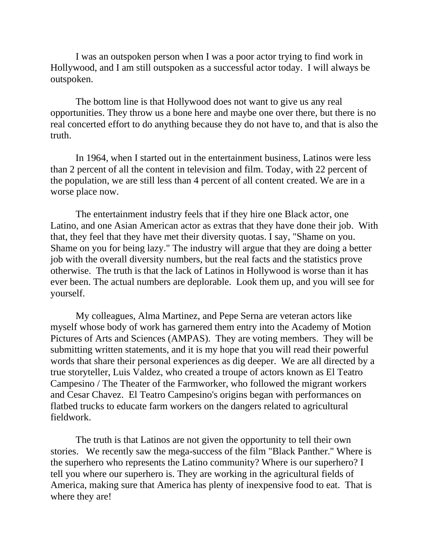I was an outspoken person when I was a poor actor trying to find work in Hollywood, and I am still outspoken as a successful actor today. I will always be outspoken.

The bottom line is that Hollywood does not want to give us any real opportunities. They throw us a bone here and maybe one over there, but there is no real concerted effort to do anything because they do not have to, and that is also the truth.

In 1964, when I started out in the entertainment business, Latinos were less than 2 percent of all the content in television and film. Today, with 22 percent of the population, we are still less than 4 percent of all content created. We are in a worse place now.

The entertainment industry feels that if they hire one Black actor, one Latino, and one Asian American actor as extras that they have done their job. With that, they feel that they have met their diversity quotas. I say, "Shame on you. Shame on you for being lazy." The industry will argue that they are doing a better job with the overall diversity numbers, but the real facts and the statistics prove otherwise. The truth is that the lack of Latinos in Hollywood is worse than it has ever been. The actual numbers are deplorable. Look them up, and you will see for yourself.

My colleagues, Alma Martinez, and Pepe Serna are veteran actors like myself whose body of work has garnered them entry into the Academy of Motion Pictures of Arts and Sciences (AMPAS). They are voting members. They will be submitting written statements, and it is my hope that you will read their powerful words that share their personal experiences as dig deeper. We are all directed by a true storyteller, Luis Valdez, who created a troupe of actors known as El Teatro Campesino / The Theater of the Farmworker, who followed the migrant workers and Cesar Chavez. El Teatro Campesino's origins began with performances on flatbed trucks to educate farm workers on the dangers related to agricultural fieldwork.

The truth is that Latinos are not given the opportunity to tell their own stories. We recently saw the mega-success of the film "Black Panther." Where is the superhero who represents the Latino community? Where is our superhero? I tell you where our superhero is. They are working in the agricultural fields of America, making sure that America has plenty of inexpensive food to eat. That is where they are!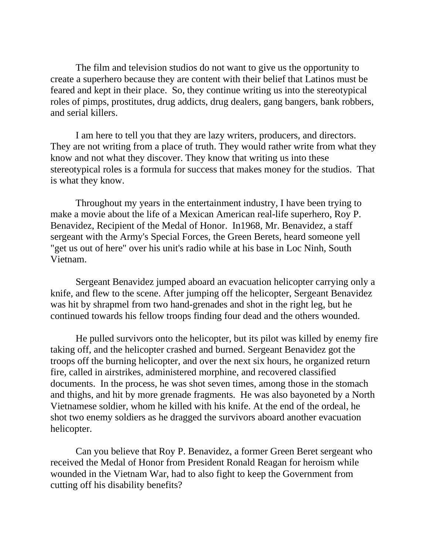The film and television studios do not want to give us the opportunity to create a superhero because they are content with their belief that Latinos must be feared and kept in their place. So, they continue writing us into the stereotypical roles of pimps, prostitutes, drug addicts, drug dealers, gang bangers, bank robbers, and serial killers.

I am here to tell you that they are lazy writers, producers, and directors. They are not writing from a place of truth. They would rather write from what they know and not what they discover. They know that writing us into these stereotypical roles is a formula for success that makes money for the studios. That is what they know.

Throughout my years in the entertainment industry, I have been trying to make a movie about the life of a Mexican American real-life superhero, Roy P. Benavidez, Recipient of the Medal of Honor. In1968, Mr. Benavidez, a staff sergeant with the Army's Special Forces, the Green Berets, heard someone yell "get us out of here" over his unit's radio while at his base in Loc Ninh, South Vietnam.

Sergeant Benavidez jumped aboard an evacuation helicopter carrying only a knife, and flew to the scene. After jumping off the helicopter, Sergeant Benavidez was hit by shrapmel from two hand-grenades and shot in the right leg, but he continued towards his fellow troops finding four dead and the others wounded.

He pulled survivors onto the helicopter, but its pilot was killed by enemy fire taking off, and the helicopter crashed and burned. Sergeant Benavidez got the troops off the burning helicopter, and over the next six hours, he organized return fire, called in airstrikes, administered morphine, and recovered classified documents. In the process, he was shot seven times, among those in the stomach and thighs, and hit by more grenade fragments. He was also bayoneted by a North Vietnamese soldier, whom he killed with his knife. At the end of the ordeal, he shot two enemy soldiers as he dragged the survivors aboard another evacuation helicopter.

Can you believe that Roy P. Benavidez, a former Green Beret sergeant who received the Medal of Honor from President Ronald Reagan for heroism while wounded in the Vietnam War, had to also fight to keep the Government from cutting off his disability benefits?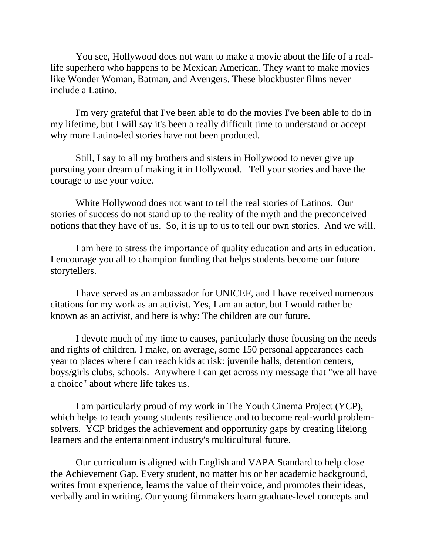You see, Hollywood does not want to make a movie about the life of a reallife superhero who happens to be Mexican American. They want to make movies like Wonder Woman, Batman, and Avengers. These blockbuster films never include a Latino.

I'm very grateful that I've been able to do the movies I've been able to do in my lifetime, but I will say it's been a really difficult time to understand or accept why more Latino-led stories have not been produced.

Still, I say to all my brothers and sisters in Hollywood to never give up pursuing your dream of making it in Hollywood. Tell your stories and have the courage to use your voice.

White Hollywood does not want to tell the real stories of Latinos. Our stories of success do not stand up to the reality of the myth and the preconceived notions that they have of us. So, it is up to us to tell our own stories. And we will.

I am here to stress the importance of quality education and arts in education. I encourage you all to champion funding that helps students become our future storytellers.

I have served as an ambassador for UNICEF, and I have received numerous citations for my work as an activist. Yes, I am an actor, but I would rather be known as an activist, and here is why: The children are our future.

I devote much of my time to causes, particularly those focusing on the needs and rights of children. I make, on average, some 150 personal appearances each year to places where I can reach kids at risk: juvenile halls, detention centers, boys/girls clubs, schools. Anywhere I can get across my message that "we all have a choice" about where life takes us.

I am particularly proud of my work in The Youth Cinema Project (YCP), which helps to teach young students resilience and to become real-world problemsolvers. YCP bridges the achievement and opportunity gaps by creating lifelong learners and the entertainment industry's multicultural future.

Our curriculum is aligned with English and VAPA Standard to help close the Achievement Gap. Every student, no matter his or her academic background, writes from experience, learns the value of their voice, and promotes their ideas, verbally and in writing. Our young filmmakers learn graduate-level concepts and